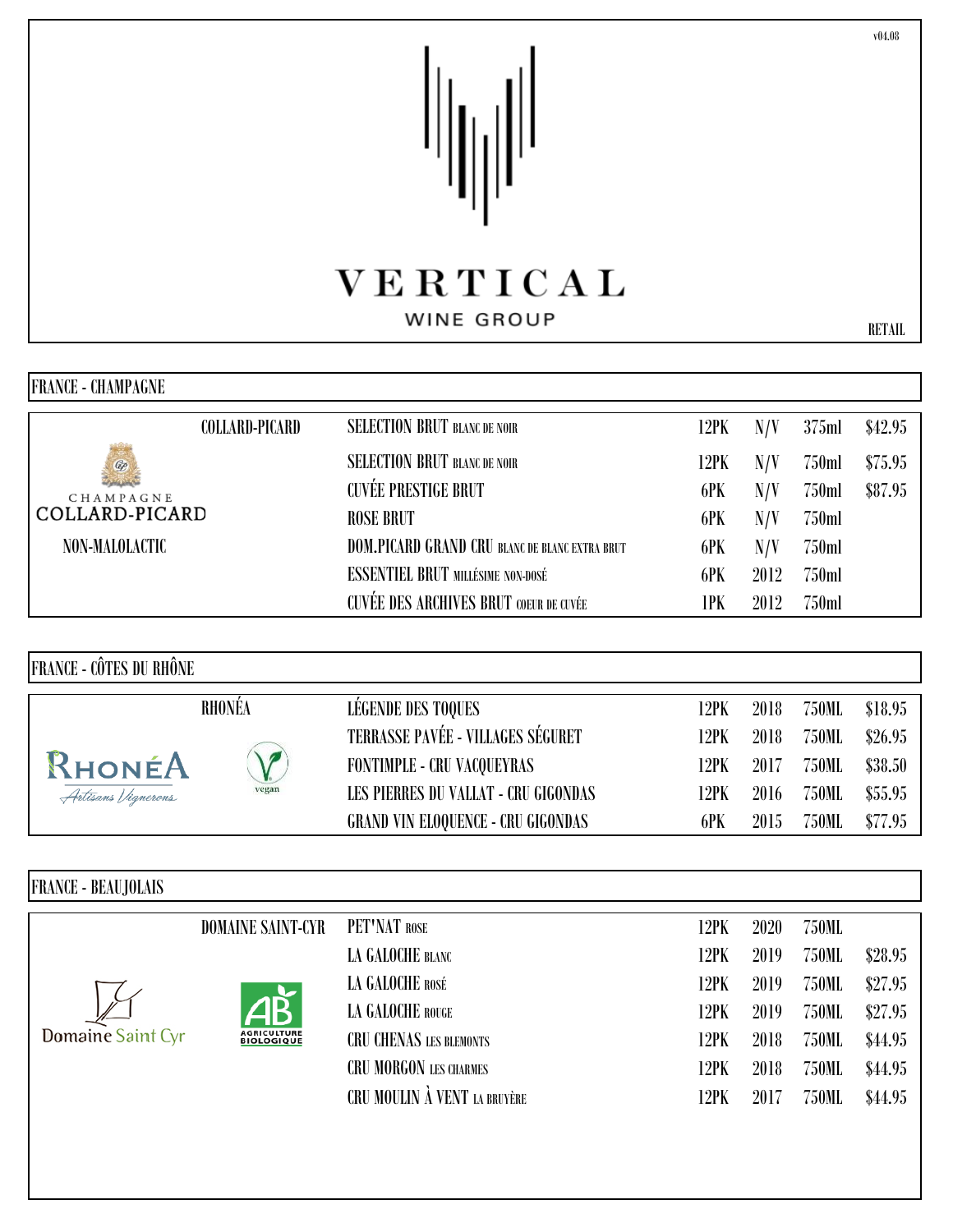## VERTICAL

## WINE GROUP

| FRANCE - CHAMPAGNE |                |                                                |      |      |       |         |
|--------------------|----------------|------------------------------------------------|------|------|-------|---------|
|                    | COLLARD-PICARD | <b>SELECTION BRUT BLANC DE NOIR</b>            | 12PK | N/V  | 375ml | \$42.95 |
| ¢<br>CHAMPAGNE     |                | <b>SELECTION BRUT BLANC DE NOIR</b>            | 12PK | N/V  | 750ml | \$75.95 |
|                    |                | <b>CUVÉE PRESTIGE BRUT</b>                     | 6PK  | N/V  | 750ml | \$87.95 |
| COLLARD-PICARD     |                | <b>ROSE BRUT</b>                               | 6PK  | N/V  | 750ml |         |
| NON-MALOLACTIC     |                | DOM.PICARD GRAND CRU BLANC DE BLANC EXTRA BRUT | 6PK  | N/V  | 750ml |         |
|                    |                | <b>ESSENTIEL BRUT MILLÉSIME NON-DOSÉ</b>       | 6PK  | 2012 | 750ml |         |
|                    |                | <b>CUVÉE DES ARCHIVES BRUT COEUR DE CUVÉE</b>  | 1PK  | 2012 | 750ml |         |

FRANCE - CÔTES DU RHÔNE

|                    | RHONÉA     | LÉGENDE DES TOQUES                        | 12PK | 2018 | 750ML | \$18.95 |
|--------------------|------------|-------------------------------------------|------|------|-------|---------|
|                    |            | <b>TERRASSE PAVÉE - VILLAGES SÉGURET</b>  | 12PK | 2018 | 750ML | \$26.95 |
| RHONÉA             | $\sqrt{ }$ | <b>FONTIMPLE - CRU VACQUEYRAS</b>         | 12PK | 2017 | 750ML | \$38.50 |
| Artisans Vignerons | vegan      | LES PIERRES DU VALLAT - CRU GIGONDAS      | 12PK | 2016 | 750ML | \$55.95 |
|                    |            | <b>GRAND VIN ELOQUENCE - CRU GIGONDAS</b> | 6PK  | 2015 | 750ML | \$77.95 |

| <b>DOMAINE SAINT-CYR</b>                | PET'NAT ROSE                   | 12PK                  | 2020    | 750ML |         |
|-----------------------------------------|--------------------------------|-----------------------|---------|-------|---------|
|                                         | LA GALOCHE BLANC               | 12PK                  | 2019    | 750ML | \$28.95 |
|                                         | LA GALOCHE ROSÉ                | 12PK                  | 2019    | 750ML | \$27.95 |
|                                         | LA GALOCHE ROUGE               | 2019<br>750ML<br>12PK | \$27.95 |       |         |
| <b>AGRICULTURE</b><br><b>BIOLOGIQUE</b> | <b>CRU CHENAS LES BLEMONTS</b> | 12PK                  | 2018    | 750ML | \$44.95 |
|                                         | <b>CRU MORGON LES CHARMES</b>  | 12PK                  | 2018    | 750ML | \$44.95 |
|                                         | CRU MOULIN À VENT LA BRUYÈRE   | 12PK                  | 2017    | 750ML | \$44.95 |
|                                         |                                |                       |         |       |         |

v04.08

RETAIL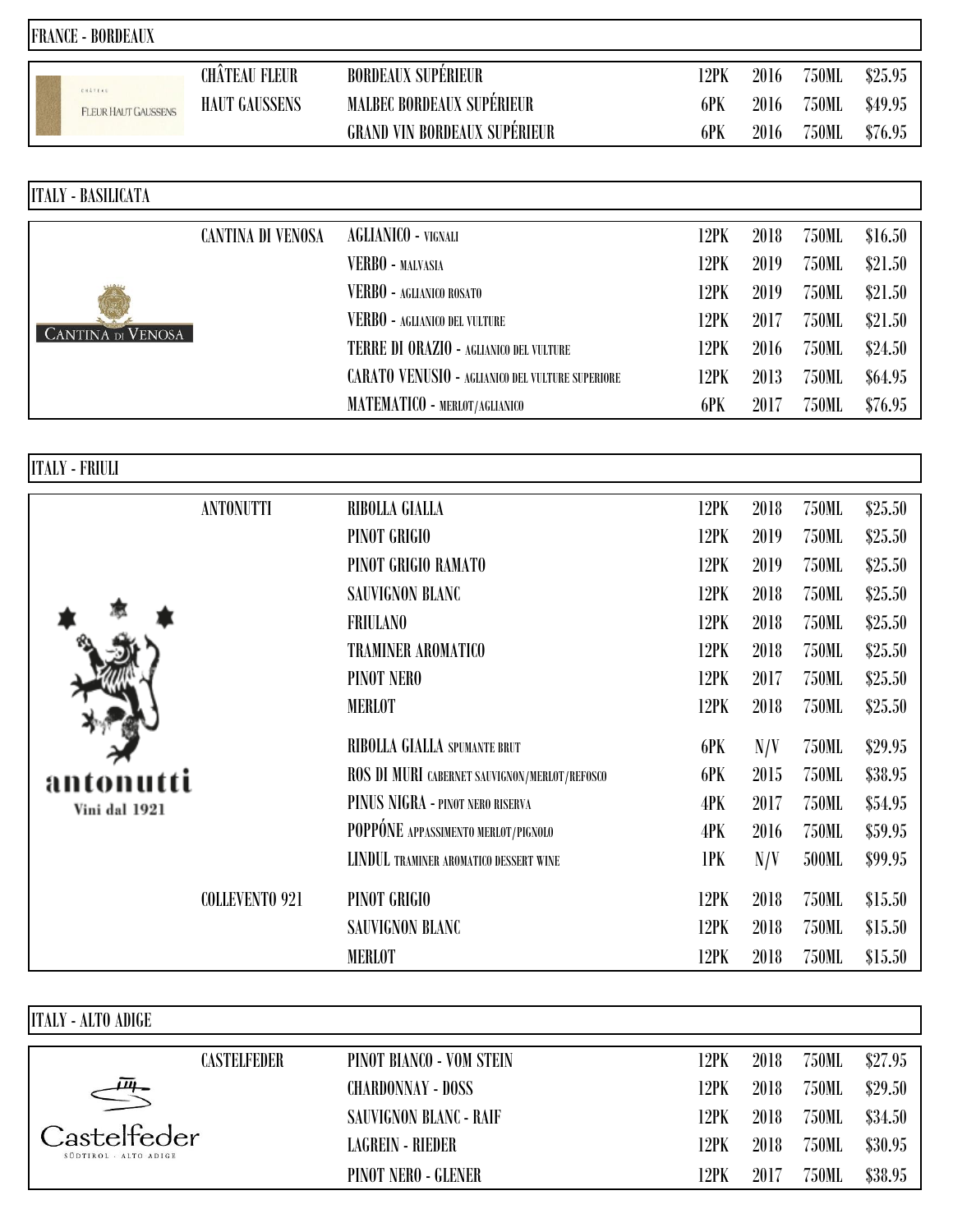| <b>FRANCE - BORDEAUX</b>              |                      |                                                         |      |      |              |         |
|---------------------------------------|----------------------|---------------------------------------------------------|------|------|--------------|---------|
|                                       | <b>CHÂTEAU FLEUR</b> | <b>BORDEAUX SUPÉRIEUR</b>                               | 12PK | 2016 | 750ML        | \$25.95 |
| EXATELE<br><b>FLEUR HAUT GAUSSENS</b> | <b>HAUT GAUSSENS</b> | <b>MALBEC BORDEAUX SUPÉRIEUR</b>                        | 6PK  | 2016 | 750ML        | \$49.95 |
|                                       |                      | <b>GRAND VIN BORDEAUX SUPÉRIEUR</b>                     | 6PK  | 2016 | 750ML        | \$76.95 |
|                                       |                      |                                                         |      |      |              |         |
| <b>ITALY - BASILICATA</b>             |                      |                                                         |      |      |              |         |
|                                       | CANTINA DI VENOSA    | AGLIANICO - VIGNALI                                     | 12PK | 2018 | 750ML        | \$16.50 |
|                                       |                      | VERBO - MALVASIA                                        | 12PK | 2019 | 750ML        | \$21.50 |
|                                       |                      | VERBO - AGLIANICO ROSATO                                | 12PK | 2019 | 750ML        | \$21.50 |
|                                       |                      | VERBO - AGLIANICO DEL VULTURE                           | 12PK | 2017 | 750ML        | \$21.50 |
| <b>CANTINA DI VENOSA</b>              |                      | TERRE DI ORAZIO - AGLIANICO DEL VULTURE                 | 12PK | 2016 | 750ML        | \$24.50 |
|                                       |                      | <b>CARATO VENUSIO - AGLIANICO DEL VULTURE SUPERIORE</b> | 12PK | 2013 | <b>750ML</b> | \$64.95 |
|                                       |                      | MATEMATICO - MERLOT/AGLIANICO                           | 6PK  | 2017 | 750ML        | \$76.95 |
|                                       |                      |                                                         |      |      |              |         |
| <b>ITALY - FRIULI</b>                 |                      |                                                         |      |      |              |         |
|                                       | <b>ANTONUTTI</b>     | RIBOLLA GIALLA                                          | 12PK | 2018 | <b>750ML</b> | \$25.50 |
|                                       |                      | PINOT GRIGIO                                            | 12PK | 2019 | <b>750ML</b> | \$25.50 |
|                                       |                      | PINOT GRIGIO RAMATO                                     | 12PK | 2019 | <b>750ML</b> | \$25.50 |

|               |                       | PINOT GRIGIO RAMATO                           | 12PK | 2019 | 750ML        | \$25.50 |
|---------------|-----------------------|-----------------------------------------------|------|------|--------------|---------|
|               |                       | <b>SAUVIGNON BLANC</b>                        | 12PK | 2018 | 750ML        | \$25.50 |
|               |                       | <b>FRIULANO</b>                               | 12PK | 2018 | 750ML        | \$25.50 |
|               |                       | <b>TRAMINER AROMATICO</b>                     | 12PK | 2018 | 750ML        | \$25.50 |
|               |                       | PINOT NERO                                    | 12PK | 2017 | 750ML        | \$25.50 |
|               |                       | <b>MERLOT</b>                                 | 12PK | 2018 | <b>750ML</b> | \$25.50 |
|               |                       | RIBOLLA GIALLA SPUMANTE BRUT                  | 6PK  | N/V  | 750ML        | \$29.95 |
| antonutti     |                       | ROS DI MURI CABERNET SAUVIGNON/MERLOT/REFOSCO | 6PK  | 2015 | 750ML        | \$38.95 |
| Vini dal 1921 |                       | PINUS NIGRA - PINOT NERO RISERVA              | 4PK  | 2017 | 750ML        | \$54.95 |
|               |                       | POPPÓNE APPASSIMENTO MERLOT/PIGNOLO           | 4PK  | 2016 | 750ML        | \$59.95 |
|               |                       | LINDUL TRAMINER AROMATICO DESSERT WINE        | 1PK  | N/V  | 500ML        | \$99.95 |
|               | <b>COLLEVENTO 921</b> | PINOT GRIGIO                                  | 12PK | 2018 | 750ML        | \$15.50 |
|               |                       | SAUVIGNON BLANC                               | 12PK | 2018 | 750ML        | \$15.50 |
|               |                       | <b>MERLOT</b>                                 | 12PK | 2018 | <b>750ML</b> | \$15.50 |

| <b>ITALY - ALTO ADIGE</b>            |                    |                          |      |      |       |         |
|--------------------------------------|--------------------|--------------------------|------|------|-------|---------|
|                                      | <b>CASTELFEDER</b> | PINOT BIANCO - VOM STEIN | 12PK | 2018 | 750ML | \$27.95 |
| $\bar{\mu}$                          |                    | CHARDONNAY - DOSS        | 12PK | 2018 | 750ML | \$29.50 |
|                                      |                    | SAUVIGNON BLANC - RAIF   | 12PK | 2018 | 750ML | \$34.50 |
| Castelfeder<br>SÜDTIROL - ALTO ADIGE |                    | LAGREIN - RIEDER         | 12PK | 2018 | 750ML | \$30.95 |
|                                      |                    | PINOT NERO - GLENER      | 2PK  | 2017 | 750ML | \$38.95 |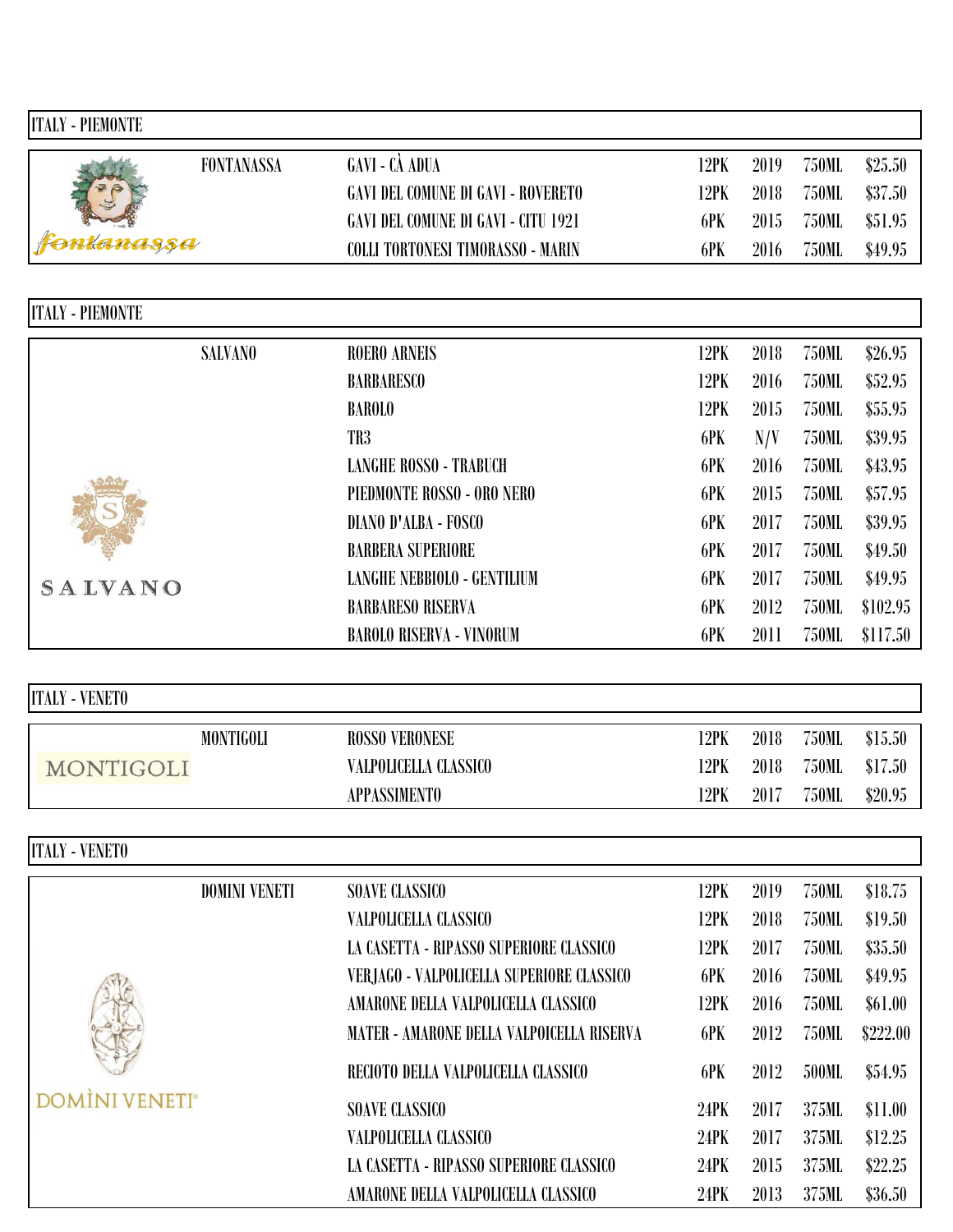| <b>ITALY - PIEMONTE</b> |                      |                                            |      |      |              |          |
|-------------------------|----------------------|--------------------------------------------|------|------|--------------|----------|
|                         | <b>FONTANASSA</b>    | GAVI - CÀ ADUA                             | 12PK | 2019 | 750ML        | \$25.50  |
|                         |                      | <b>GAVI DEL COMUNE DI GAVI - ROVERETO</b>  | 12PK | 2018 | <b>750ML</b> | \$37.50  |
|                         |                      | <b>GAVI DEL COMUNE DI GAVI - CITU 1921</b> | 6PK  | 2015 | 750ML        | \$51.95  |
| ntanassa                |                      | COLLI TORTONESI TIMORASSO - MARIN          | 6PK  | 2016 | 750ML        | \$49.95  |
|                         |                      |                                            |      |      |              |          |
| <b>ITALY - PIEMONTE</b> |                      |                                            |      |      |              |          |
|                         | <b>SALVANO</b>       | <b>ROERO ARNEIS</b>                        | 12PK | 2018 | <b>750ML</b> | \$26.95  |
|                         |                      | <b>BARBARESCO</b>                          | 12PK | 2016 | 750ML        | \$52.95  |
|                         |                      | <b>BAROLO</b>                              | 12PK | 2015 | <b>750ML</b> | \$55.95  |
|                         |                      | TR3                                        | 6PK  | N/V  | 750ML        | \$39.95  |
|                         |                      | <b>LANGHE ROSSO - TRABUCH</b>              | 6PK  | 2016 | <b>750ML</b> | \$43.95  |
|                         |                      | PIEDMONTE ROSSO - ORO NERO                 | 6PK  | 2015 | <b>750ML</b> | \$57.95  |
|                         |                      | DIANO D'ALBA - FOSCO                       | 6PK  | 2017 | <b>750ML</b> | \$39.95  |
|                         |                      | <b>BARBERA SUPERIORE</b>                   | 6PK  | 2017 | <b>750ML</b> | \$49.50  |
| <b>SALVANO</b>          |                      | <b>LANGHE NEBBIOLO - GENTILIUM</b>         | 6PK  | 2017 | <b>750ML</b> | \$49.95  |
|                         |                      | <b>BARBARESO RISERVA</b>                   | 6PK  | 2012 | <b>750ML</b> | \$102.95 |
|                         |                      | <b>BAROLO RISERVA - VINORUM</b>            | 6PK  | 2011 | <b>750ML</b> | \$117.50 |
|                         |                      |                                            |      |      |              |          |
| <b>ITALY - VENETO</b>   |                      |                                            |      |      |              |          |
|                         | <b>MONTIGOLI</b>     | <b>ROSSO VERONESE</b>                      | 12PK | 2018 | 750ML        | \$15.50  |
| MONTIGOLI               |                      | VALPOLICELLA CLASSICO                      | 12PK | 2018 | 750ML        | \$17.50  |
|                         |                      | <b>APPASSIMENTO</b>                        | 12PK | 2017 | <b>750ML</b> | \$20.95  |
| <b>ITALY - VENETO</b>   |                      |                                            |      |      |              |          |
|                         |                      |                                            |      |      |              |          |
|                         | <b>DOMINI VENETI</b> | <b>SOAVE CLASSICO</b>                      | 12PK | 2019 | 750ML        | \$18.75  |
|                         |                      | VALPOLICELLA CLASSICO                      | 12PK | 2018 | 750ML        | \$19.50  |
|                         |                      | LA CASETTA - RIPASSO SUPERIORE CLASSICO    | 12PK | 2017 | 750ML        | \$35.50  |
|                         |                      | VERJAGO - VALPOLICELLA SUPERIORE CLASSICO  | 6PK  | 2016 | 750ML        | \$49.95  |
|                         |                      | AMARONE DELLA VALPOLICELLA CLASSICO        | 12PK | 2016 | 750ML        | \$61.00  |
|                         |                      | MATER - AMARONE DELLA VALPOICELLA RISERVA  | 6PK  | 2012 | <b>750ML</b> | \$222.00 |
|                         |                      | RECIOTO DELLA VALPOLICELLA CLASSICO        | 6PK  | 2012 | 500ML        | \$54.95  |
| <b>DOMINI VENETI®</b>   |                      | <b>SOAVE CLASSICO</b>                      | 24PK | 2017 | 375ML        | \$11.00  |
|                         |                      | VALPOLICELLA CLASSICO                      | 24PK | 2017 | 375ML        | \$12.25  |
|                         |                      | LA CASETTA - RIPASSO SUPERIORE CLASSICO    | 24PK | 2015 | 375ML        | \$22.25  |
|                         |                      | AMARONE DELLA VALPOLICELLA CLASSICO        | 24PK | 2013 | 375ML        | \$36.50  |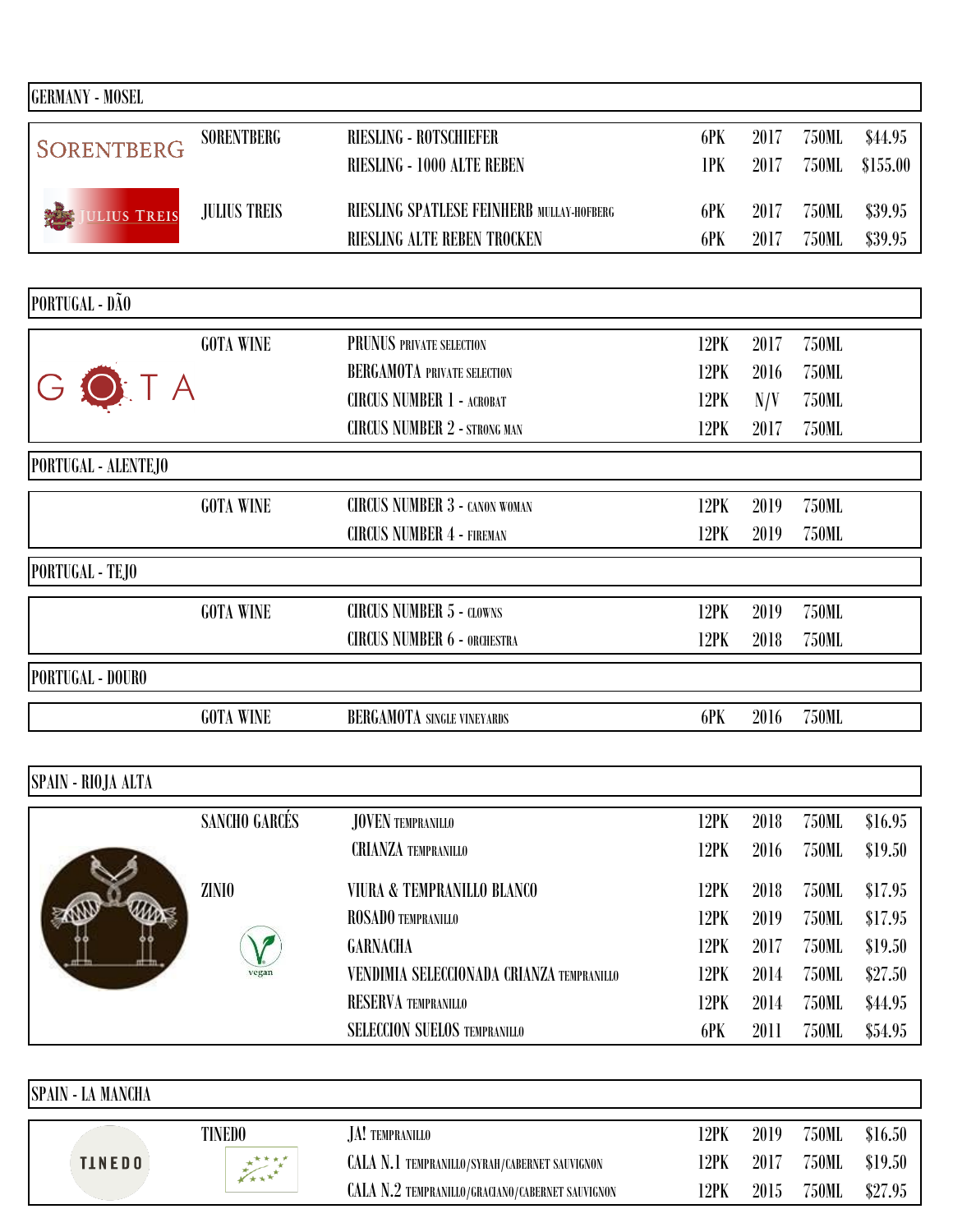| <b>GERMANY - MOSEL</b>         |                     |                                           |      |      |              |          |
|--------------------------------|---------------------|-------------------------------------------|------|------|--------------|----------|
|                                | <b>SORENTBERG</b>   | <b>RIESLING - ROTSCHIEFER</b>             | 6PK  | 2017 | <b>750ML</b> | \$44.95  |
| <b>SORENTBERG</b>              |                     | RIESLING - 1000 ALTE REBEN                | 1PK  | 2017 | 750ML        | \$155.00 |
|                                | <b>JULIUS TREIS</b> | RIESLING SPATLESE FEINHERB MULLAY-HOFBERG | 6PK  | 2017 | 750ML        | \$39.95  |
| ULIUS TREIS                    |                     | RIESLING ALTE REBEN TROCKEN               | 6PK  | 2017 | 750ML        | \$39.95  |
|                                |                     |                                           |      |      |              |          |
| PORTUGAL - DÃO                 |                     |                                           |      |      |              |          |
|                                | <b>GOTA WINE</b>    | PRUNUS PRIVATE SELECTION                  | 12PK | 2017 | <b>750ML</b> |          |
|                                |                     | <b>BERGAMOTA PRIVATE SELECTION</b>        | 12PK | 2016 | <b>750ML</b> |          |
| $\overline{\mathcal{A}}$       |                     | <b>CIRCUS NUMBER 1 - ACROBAT</b>          | 12PK | N/V  | <b>750ML</b> |          |
|                                |                     | <b>CIRCUS NUMBER 2 - STRONG MAN</b>       | 12PK | 2017 | <b>750ML</b> |          |
| PORTUGAL - ALENTEJO            |                     |                                           |      |      |              |          |
|                                | <b>GOTA WINE</b>    | <b>CIRCUS NUMBER 3 - CANON WOMAN</b>      | 12PK | 2019 | <b>750ML</b> |          |
|                                |                     | <b>CIRCUS NUMBER 4 - FIREMAN</b>          | 12PK | 2019 | <b>750ML</b> |          |
| PORTUGAL - TEJO                |                     |                                           |      |      |              |          |
|                                | <b>GOTA WINE</b>    | <b>CIRCUS NUMBER 5 - CLOWNS</b>           | 12PK | 2019 | <b>750ML</b> |          |
|                                |                     | <b>CIRCUS NUMBER 6 - ORCHESTRA</b>        | 12PK | 2018 | 750ML        |          |
| PORTUGAL - DOURO               |                     |                                           |      |      |              |          |
|                                | <b>GOTA WINE</b>    | <b>BERGAMOTA SINGLE VINEYARDS</b>         | 6PK  | 2016 | <b>750ML</b> |          |
|                                |                     |                                           |      |      |              |          |
| SPAIN - RIOJA ALTA             |                     |                                           |      |      |              |          |
|                                | SANCHO GARCÉS       | JOVEN TEMPRANILLO                         | 12PK | 2018 | 750ML        | \$16.95  |
|                                |                     | <b>CRIANZA TEMPRANILLO</b>                | 12PK | 2016 | 750ML        | \$19.50  |
|                                | ZINIO               | VIURA & TEMPRANILLO BLANCO                | 12PK | 2018 | <b>750ML</b> | \$17.95  |
| <b>Altra</b><br><b>ENVILLE</b> |                     | ROSADO TEMPRANILLO                        | 12PK | 2019 | 750ML        | \$17.95  |
|                                |                     | <b>GARNACHA</b>                           | 12PK | 2017 | 750ML        | \$19.50  |
|                                | vegan               | VENDIMIA SELECCIONADA CRIANZA TEMPRANILLO | 12PK | 2014 | 750ML        | \$27.50  |
|                                |                     | RESERVA TEMPRANILLO                       | 12PK | 2014 | 750ML        | \$44.95  |
|                                |                     | <b>SELECCION SUELOS TEMPRANILLO</b>       | 6PK  | 2011 | <b>750ML</b> | \$54.95  |
|                                |                     |                                           |      |      |              |          |
| SPAIN - LA MANCHA              |                     |                                           |      |      |              |          |

TINEDO JA! TEMPRANILLO<br>CALA N.1 TEMPRANILLO/SYRAH/CABERNET SAUVIGNON 12PK 2017 750ML \$19.50 CALA N.1 TEMPRANILLO/SYRAH/CABERNET SAUVIGNON 12PK 2017 750ML  $\begin{array}{c}\n\overbrace{\phantom{0}}^{x\overbrace{\phantom{0}}^{x\overbrace{\phantom{0}}^{x\overbrace{\phantom{0}}^{x\overbrace{\phantom{0}}^{x\overbrace{\phantom{0}}^{x\overbrace{\phantom{0}}^{x\overbrace{\phantom{0}}^{x\overbrace{\phantom{0}}^{x\overbrace{\phantom{0}}^{x\overbrace{\phantom{0}}^{x\overbrace{\phantom{0}}^{x\overbrace{\phantom{0}}^{x\overbrace{\phantom{0}}^{x\overbrace{\phantom{0}}^{x\overbrace{\phantom{0}}^{x\overbrace{\phantom{0}}^{x\overbrace{\phantom{0}}^{x\overbrace{\phantom{0}}^{x\overbrace$ **TINEDO** CALA N.2 TEMPRANILLO/GRACIANO/CABERNET SAUVIGNON 12PK 2015 750ML \$27.95